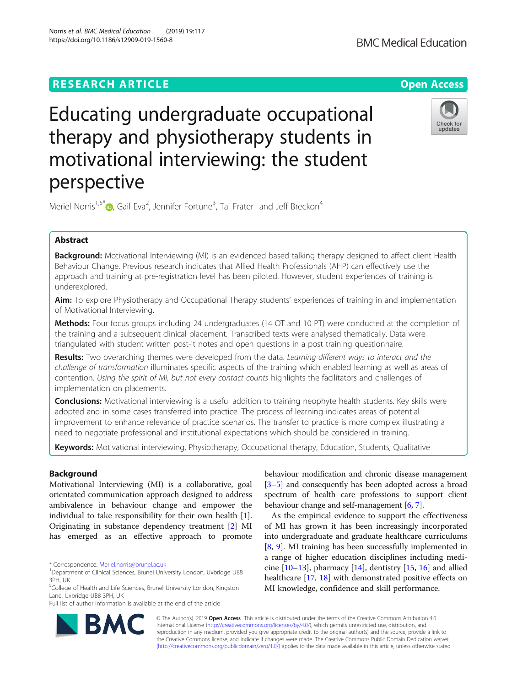# **RESEARCH ARTICLE Example 2018 12:30 The Contract of Contract Contract Open Access**

# Educating undergraduate occupational therapy and physiotherapy students in motivational interviewing: the student perspective

Meriel Norris<sup>1,5[\\*](http://orcid.org/0000-0001-7779-5612)</sup> $\textsf{\textcirc}$ , Gail Eva<sup>2</sup>, Jennifer Fortune<sup>3</sup>, Tai Frater<sup>1</sup> and Jeff Breckon<sup>4</sup>

# Abstract

Background: Motivational Interviewing (MI) is an evidenced based talking therapy designed to affect client Health Behaviour Change. Previous research indicates that Allied Health Professionals (AHP) can effectively use the approach and training at pre-registration level has been piloted. However, student experiences of training is underexplored.

Aim: To explore Physiotherapy and Occupational Therapy students' experiences of training in and implementation of Motivational Interviewing.

**Methods:** Four focus groups including 24 undergraduates (14 OT and 10 PT) were conducted at the completion of the training and a subsequent clinical placement. Transcribed texts were analysed thematically. Data were triangulated with student written post-it notes and open questions in a post training questionnaire.

Results: Two overarching themes were developed from the data. Learning different ways to interact and the challenge of transformation illuminates specific aspects of the training which enabled learning as well as areas of contention. Using the spirit of MI, but not every contact counts highlights the facilitators and challenges of implementation on placements.

**Conclusions:** Motivational interviewing is a useful addition to training neophyte health students. Key skills were adopted and in some cases transferred into practice. The process of learning indicates areas of potential improvement to enhance relevance of practice scenarios. The transfer to practice is more complex illustrating a need to negotiate professional and institutional expectations which should be considered in training.

Keywords: Motivational interviewing, Physiotherapy, Occupational therapy, Education, Students, Qualitative

# Background

Motivational Interviewing (MI) is a collaborative, goal orientated communication approach designed to address ambivalence in behaviour change and empower the individual to take responsibility for their own health [\[1](#page-6-0)]. Originating in substance dependency treatment [[2](#page-6-0)] MI has emerged as an effective approach to promote

\* Correspondence: [Meriel.norris@brunel.ac.uk](mailto:Meriel.norris@brunel.ac.uk) <sup>1</sup>

BA

behaviour modification and chronic disease management [[3](#page-6-0)–[5](#page-6-0)] and consequently has been adopted across a broad spectrum of health care professions to support client behaviour change and self-management [\[6,](#page-6-0) [7\]](#page-6-0). As the empirical evidence to support the effectiveness

of MI has grown it has been increasingly incorporated into undergraduate and graduate healthcare curriculums [[8,](#page-6-0) [9](#page-6-0)]. MI training has been successfully implemented in a range of higher education disciplines including medicine  $[10-13]$  $[10-13]$  $[10-13]$  $[10-13]$  $[10-13]$ , pharmacy  $[14]$  $[14]$ , dentistry  $[15, 16]$  $[15, 16]$  $[15, 16]$  $[15, 16]$  and allied healthcare [\[17,](#page-6-0) [18\]](#page-6-0) with demonstrated positive effects on MI knowledge, confidence and skill performance.

© The Author(s). 2019 **Open Access** This article is distributed under the terms of the Creative Commons Attribution 4.0 International License [\(http://creativecommons.org/licenses/by/4.0/](http://creativecommons.org/licenses/by/4.0/)), which permits unrestricted use, distribution, and reproduction in any medium, provided you give appropriate credit to the original author(s) and the source, provide a link to the Creative Commons license, and indicate if changes were made. The Creative Commons Public Domain Dedication waiver [\(http://creativecommons.org/publicdomain/zero/1.0/](http://creativecommons.org/publicdomain/zero/1.0/)) applies to the data made available in this article, unless otherwise stated.







<sup>&</sup>lt;sup>1</sup>Department of Clinical Sciences, Brunel University London, Uxbridge UB8 3PH, UK

<sup>&</sup>lt;sup>5</sup>College of Health and Life Sciences, Brunel University London, Kingston Lane, Uxbridge UB8 3PH, UK

Full list of author information is available at the end of the article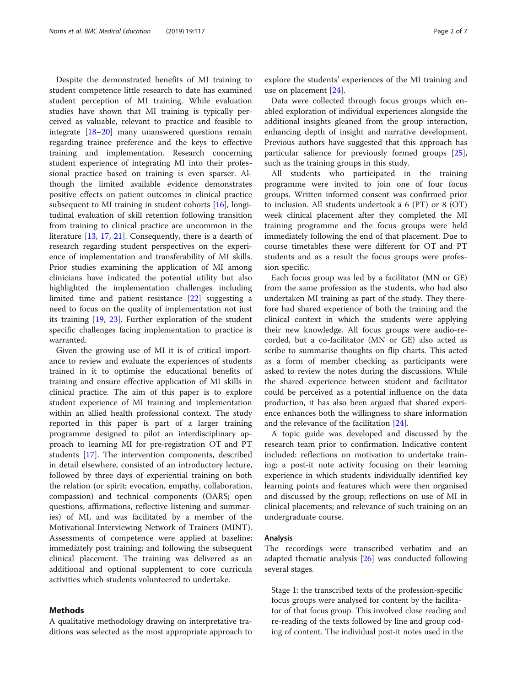Despite the demonstrated benefits of MI training to student competence little research to date has examined student perception of MI training. While evaluation studies have shown that MI training is typically perceived as valuable, relevant to practice and feasible to integrate [\[18](#page-6-0)–[20\]](#page-6-0) many unanswered questions remain regarding trainee preference and the keys to effective training and implementation. Research concerning student experience of integrating MI into their professional practice based on training is even sparser. Although the limited available evidence demonstrates positive effects on patient outcomes in clinical practice subsequent to MI training in student cohorts [\[16](#page-6-0)], longitudinal evaluation of skill retention following transition from training to clinical practice are uncommon in the literature [[13](#page-6-0), [17,](#page-6-0) [21](#page-6-0)]. Consequently, there is a dearth of research regarding student perspectives on the experience of implementation and transferability of MI skills. Prior studies examining the application of MI among clinicians have indicated the potential utility but also highlighted the implementation challenges including limited time and patient resistance [\[22\]](#page-6-0) suggesting a need to focus on the quality of implementation not just its training [[19,](#page-6-0) [23\]](#page-6-0). Further exploration of the student specific challenges facing implementation to practice is warranted.

Given the growing use of MI it is of critical importance to review and evaluate the experiences of students trained in it to optimise the educational benefits of training and ensure effective application of MI skills in clinical practice. The aim of this paper is to explore student experience of MI training and implementation within an allied health professional context. The study reported in this paper is part of a larger training programme designed to pilot an interdisciplinary approach to learning MI for pre-registration OT and PT students [[17\]](#page-6-0). The intervention components, described in detail elsewhere, consisted of an introductory lecture, followed by three days of experiential training on both the relation (or spirit; evocation, empathy, collaboration, compassion) and technical components (OARS; open questions, affirmations, reflective listening and summaries) of MI, and was facilitated by a member of the Motivational Interviewing Network of Trainers (MINT). Assessments of competence were applied at baseline; immediately post training; and following the subsequent clinical placement. The training was delivered as an additional and optional supplement to core curricula activities which students volunteered to undertake.

## Methods

A qualitative methodology drawing on interpretative traditions was selected as the most appropriate approach to explore the students' experiences of the MI training and use on placement [[24\]](#page-6-0).

Data were collected through focus groups which enabled exploration of individual experiences alongside the additional insights gleaned from the group interaction, enhancing depth of insight and narrative development. Previous authors have suggested that this approach has particular salience for previously formed groups [\[25](#page-6-0)], such as the training groups in this study.

All students who participated in the training programme were invited to join one of four focus groups. Written informed consent was confirmed prior to inclusion. All students undertook a 6 (PT) or 8 (OT) week clinical placement after they completed the MI training programme and the focus groups were held immediately following the end of that placement. Due to course timetables these were different for OT and PT students and as a result the focus groups were profession specific.

Each focus group was led by a facilitator (MN or GE) from the same profession as the students, who had also undertaken MI training as part of the study. They therefore had shared experience of both the training and the clinical context in which the students were applying their new knowledge. All focus groups were audio-recorded, but a co-facilitator (MN or GE) also acted as scribe to summarise thoughts on flip charts. This acted as a form of member checking as participants were asked to review the notes during the discussions. While the shared experience between student and facilitator could be perceived as a potential influence on the data production, it has also been argued that shared experience enhances both the willingness to share information and the relevance of the facilitation [[24\]](#page-6-0).

A topic guide was developed and discussed by the research team prior to confirmation. Indicative content included: reflections on motivation to undertake training; a post-it note activity focusing on their learning experience in which students individually identified key learning points and features which were then organised and discussed by the group; reflections on use of MI in clinical placements; and relevance of such training on an undergraduate course.

## Analysis

The recordings were transcribed verbatim and an adapted thematic analysis [\[26](#page-6-0)] was conducted following several stages.

Stage 1: the transcribed texts of the profession-specific focus groups were analysed for content by the facilitator of that focus group. This involved close reading and re-reading of the texts followed by line and group coding of content. The individual post-it notes used in the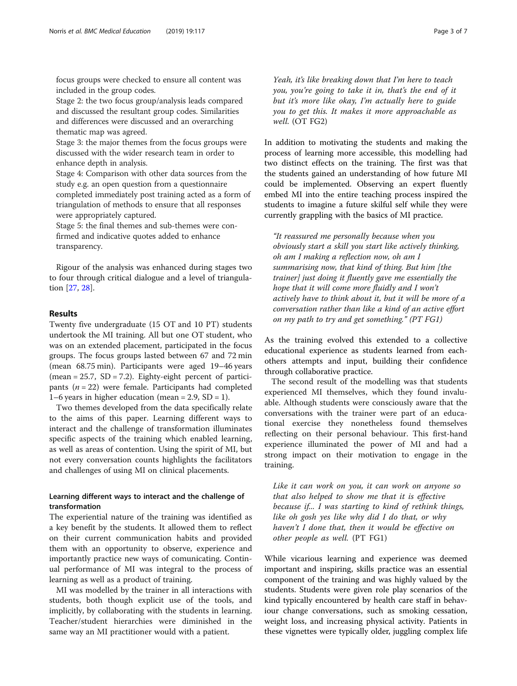focus groups were checked to ensure all content was included in the group codes.

Stage 2: the two focus group/analysis leads compared and discussed the resultant group codes. Similarities and differences were discussed and an overarching thematic map was agreed.

Stage 3: the major themes from the focus groups were discussed with the wider research team in order to enhance depth in analysis.

Stage 4: Comparison with other data sources from the study e.g. an open question from a questionnaire completed immediately post training acted as a form of triangulation of methods to ensure that all responses were appropriately captured.

Stage 5: the final themes and sub-themes were confirmed and indicative quotes added to enhance transparency.

Rigour of the analysis was enhanced during stages two to four through critical dialogue and a level of triangulation [\[27,](#page-6-0) [28\]](#page-6-0).

# Results

Twenty five undergraduate (15 OT and 10 PT) students undertook the MI training. All but one OT student, who was on an extended placement, participated in the focus groups. The focus groups lasted between 67 and 72 min (mean 68.75 min). Participants were aged 19–46 years  $(mean = 25.7, SD = 7.2)$ . Eighty-eight percent of participants ( $n = 22$ ) were female. Participants had completed 1–6 years in higher education (mean =  $2.9$ , SD = 1).

Two themes developed from the data specifically relate to the aims of this paper. Learning different ways to interact and the challenge of transformation illuminates specific aspects of the training which enabled learning, as well as areas of contention. Using the spirit of MI, but not every conversation counts highlights the facilitators and challenges of using MI on clinical placements.

# Learning different ways to interact and the challenge of transformation

The experiential nature of the training was identified as a key benefit by the students. It allowed them to reflect on their current communication habits and provided them with an opportunity to observe, experience and importantly practice new ways of comunicating. Continual performance of MI was integral to the process of learning as well as a product of training.

MI was modelled by the trainer in all interactions with students, both though explicit use of the tools, and implicitly, by collaborating with the students in learning. Teacher/student hierarchies were diminished in the same way an MI practitioner would with a patient.

Yeah, it's like breaking down that I'm here to teach you, you're going to take it in, that's the end of it but it's more like okay, I'm actually here to guide you to get this. It makes it more approachable as well. (OT FG2)

In addition to motivating the students and making the process of learning more accessible, this modelling had two distinct effects on the training. The first was that the students gained an understanding of how future MI could be implemented. Observing an expert fluently embed MI into the entire teaching process inspired the students to imagine a future skilful self while they were currently grappling with the basics of MI practice.

"It reassured me personally because when you obviously start a skill you start like actively thinking, oh am I making a reflection now, oh am I summarising now, that kind of thing. But him [the trainer] just doing it fluently gave me essentially the hope that it will come more fluidly and I won't actively have to think about it, but it will be more of a conversation rather than like a kind of an active effort on my path to try and get something." (PT FG1)

As the training evolved this extended to a collective educational experience as students learned from eachothers attempts and input, building their confidence through collaborative practice.

The second result of the modelling was that students experienced MI themselves, which they found invaluable. Although students were consciously aware that the conversations with the trainer were part of an educational exercise they nonetheless found themselves reflecting on their personal behaviour. This first-hand experience illuminated the power of MI and had a strong impact on their motivation to engage in the training.

Like it can work on you, it can work on anyone so that also helped to show me that it is effective because if... I was starting to kind of rethink things, like oh gosh yes like why did I do that, or why haven't I done that, then it would be effective on other people as well. (PT FG1)

While vicarious learning and experience was deemed important and inspiring, skills practice was an essential component of the training and was highly valued by the students. Students were given role play scenarios of the kind typically encountered by health care staff in behaviour change conversations, such as smoking cessation, weight loss, and increasing physical activity. Patients in these vignettes were typically older, juggling complex life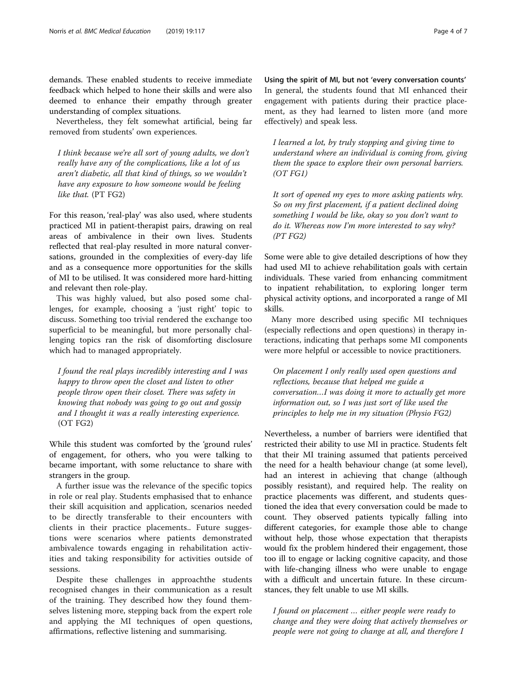demands. These enabled students to receive immediate feedback which helped to hone their skills and were also deemed to enhance their empathy through greater understanding of complex situations.

Nevertheless, they felt somewhat artificial, being far removed from students' own experiences.

I think because we're all sort of young adults, we don't really have any of the complications, like a lot of us aren't diabetic, all that kind of things, so we wouldn't have any exposure to how someone would be feeling like that. (PT FG2)

For this reason, 'real-play' was also used, where students practiced MI in patient-therapist pairs, drawing on real areas of ambivalence in their own lives. Students reflected that real-play resulted in more natural conversations, grounded in the complexities of every-day life and as a consequence more opportunities for the skills of MI to be utilised. It was considered more hard-hitting and relevant then role-play.

This was highly valued, but also posed some challenges, for example, choosing a 'just right' topic to discuss. Something too trivial rendered the exchange too superficial to be meaningful, but more personally challenging topics ran the risk of disomforting disclosure which had to managed appropriately.

I found the real plays incredibly interesting and I was happy to throw open the closet and listen to other people throw open their closet. There was safety in knowing that nobody was going to go out and gossip and I thought it was a really interesting experience. (OT FG2)

While this student was comforted by the 'ground rules' of engagement, for others, who you were talking to became important, with some reluctance to share with strangers in the group.

A further issue was the relevance of the specific topics in role or real play. Students emphasised that to enhance their skill acquisition and application, scenarios needed to be directly transferable to their encounters with clients in their practice placements.. Future suggestions were scenarios where patients demonstrated ambivalence towards engaging in rehabilitation activities and taking responsibility for activities outside of sessions.

Despite these challenges in approachthe students recognised changes in their communication as a result of the training. They described how they found themselves listening more, stepping back from the expert role and applying the MI techniques of open questions, affirmations, reflective listening and summarising.

Using the spirit of MI, but not 'every conversation counts' In general, the students found that MI enhanced their engagement with patients during their practice placement, as they had learned to listen more (and more effectively) and speak less.

I learned a lot, by truly stopping and giving time to understand where an individual is coming from, giving them the space to explore their own personal barriers. (OT FG1)

It sort of opened my eyes to more asking patients why. So on my first placement, if a patient declined doing something I would be like, okay so you don't want to do it. Whereas now I'm more interested to say why? (PT FG2)

Some were able to give detailed descriptions of how they had used MI to achieve rehabilitation goals with certain individuals. These varied from enhancing commitment to inpatient rehabilitation, to exploring longer term physical activity options, and incorporated a range of MI skills.

Many more described using specific MI techniques (especially reflections and open questions) in therapy interactions, indicating that perhaps some MI components were more helpful or accessible to novice practitioners.

On placement I only really used open questions and reflections, because that helped me guide a conversation…I was doing it more to actually get more information out, so I was just sort of like used the principles to help me in my situation (Physio FG2)

Nevertheless, a number of barriers were identified that restricted their ability to use MI in practice. Students felt that their MI training assumed that patients perceived the need for a health behaviour change (at some level), had an interest in achieving that change (although possibly resistant), and required help. The reality on practice placements was different, and students questioned the idea that every conversation could be made to count. They observed patients typically falling into different categories, for example those able to change without help, those whose expectation that therapists would fix the problem hindered their engagement, those too ill to engage or lacking cognitive capacity, and those with life-changing illness who were unable to engage with a difficult and uncertain future. In these circumstances, they felt unable to use MI skills.

I found on placement … either people were ready to change and they were doing that actively themselves or people were not going to change at all, and therefore I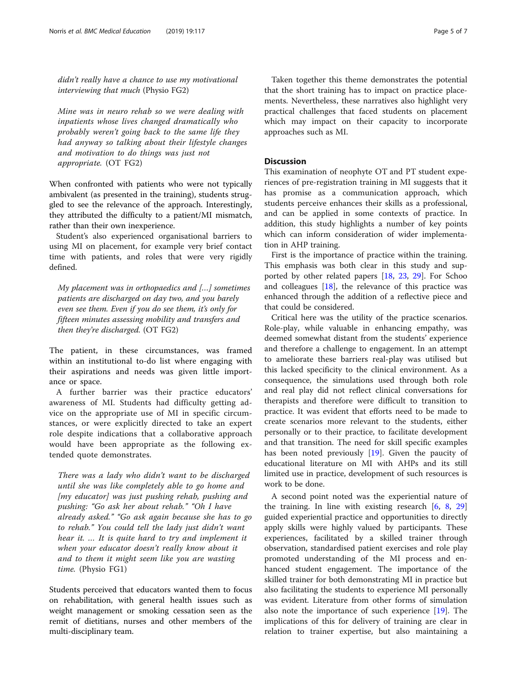didn't really have a chance to use my motivational interviewing that much (Physio FG2)

Mine was in neuro rehab so we were dealing with inpatients whose lives changed dramatically who probably weren't going back to the same life they had anyway so talking about their lifestyle changes and motivation to do things was just not appropriate. (OT FG2)

When confronted with patients who were not typically ambivalent (as presented in the training), students struggled to see the relevance of the approach. Interestingly, they attributed the difficulty to a patient/MI mismatch, rather than their own inexperience.

Student's also experienced organisational barriers to using MI on placement, for example very brief contact time with patients, and roles that were very rigidly defined.

My placement was in orthopaedics and […] sometimes patients are discharged on day two, and you barely even see them. Even if you do see them, it's only for fifteen minutes assessing mobility and transfers and then they're discharged. (OT FG2)

The patient, in these circumstances, was framed within an institutional to-do list where engaging with their aspirations and needs was given little importance or space.

A further barrier was their practice educators' awareness of MI. Students had difficulty getting advice on the appropriate use of MI in specific circumstances, or were explicitly directed to take an expert role despite indications that a collaborative approach would have been appropriate as the following extended quote demonstrates.

There was a lady who didn't want to be discharged until she was like completely able to go home and [my educator] was just pushing rehab, pushing and pushing: "Go ask her about rehab." "Oh I have already asked." "Go ask again because she has to go to rehab." You could tell the lady just didn't want hear it. … It is quite hard to try and implement it when your educator doesn't really know about it and to them it might seem like you are wasting time. (Physio FG1)

Students perceived that educators wanted them to focus on rehabilitation, with general health issues such as weight management or smoking cessation seen as the remit of dietitians, nurses and other members of the multi-disciplinary team.

Taken together this theme demonstrates the potential that the short training has to impact on practice placements. Nevertheless, these narratives also highlight very practical challenges that faced students on placement which may impact on their capacity to incorporate approaches such as MI.

# **Discussion**

This examination of neophyte OT and PT student experiences of pre-registration training in MI suggests that it has promise as a communication approach, which students perceive enhances their skills as a professional, and can be applied in some contexts of practice. In addition, this study highlights a number of key points which can inform consideration of wider implementation in AHP training.

First is the importance of practice within the training. This emphasis was both clear in this study and supported by other related papers [[18,](#page-6-0) [23,](#page-6-0) [29](#page-6-0)]. For Schoo and colleagues [[18\]](#page-6-0), the relevance of this practice was enhanced through the addition of a reflective piece and that could be considered.

Critical here was the utility of the practice scenarios. Role-play, while valuable in enhancing empathy, was deemed somewhat distant from the students' experience and therefore a challenge to engagement. In an attempt to ameliorate these barriers real-play was utilised but this lacked specificity to the clinical environment. As a consequence, the simulations used through both role and real play did not reflect clinical conversations for therapists and therefore were difficult to transition to practice. It was evident that efforts need to be made to create scenarios more relevant to the students, either personally or to their practice, to facilitate development and that transition. The need for skill specific examples has been noted previously [\[19](#page-6-0)]. Given the paucity of educational literature on MI with AHPs and its still limited use in practice, development of such resources is work to be done.

A second point noted was the experiential nature of the training. In line with existing research [\[6](#page-6-0), [8,](#page-6-0) [29](#page-6-0)] guided experiential practice and opportunities to directly apply skills were highly valued by participants. These experiences, facilitated by a skilled trainer through observation, standardised patient exercises and role play promoted understanding of the MI process and enhanced student engagement. The importance of the skilled trainer for both demonstrating MI in practice but also facilitating the students to experience MI personally was evident. Literature from other forms of simulation also note the importance of such experience [[19\]](#page-6-0). The implications of this for delivery of training are clear in relation to trainer expertise, but also maintaining a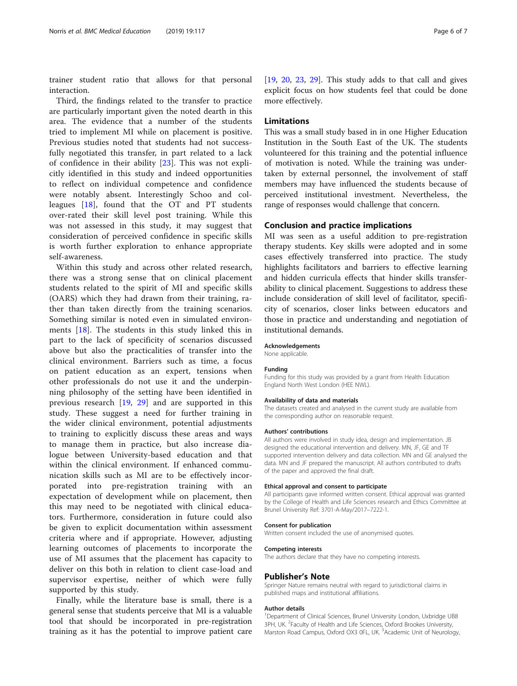trainer student ratio that allows for that personal interaction.

Third, the findings related to the transfer to practice are particularly important given the noted dearth in this area. The evidence that a number of the students tried to implement MI while on placement is positive. Previous studies noted that students had not successfully negotiated this transfer, in part related to a lack of confidence in their ability [[23](#page-6-0)]. This was not explicitly identified in this study and indeed opportunities to reflect on individual competence and confidence were notably absent. Interestingly Schoo and colleagues [[18](#page-6-0)], found that the OT and PT students over-rated their skill level post training. While this was not assessed in this study, it may suggest that consideration of perceived confidence in specific skills is worth further exploration to enhance appropriate self-awareness.

Within this study and across other related research, there was a strong sense that on clinical placement students related to the spirit of MI and specific skills (OARS) which they had drawn from their training, rather than taken directly from the training scenarios. Something similar is noted even in simulated environments [\[18](#page-6-0)]. The students in this study linked this in part to the lack of specificity of scenarios discussed above but also the practicalities of transfer into the clinical environment. Barriers such as time, a focus on patient education as an expert, tensions when other professionals do not use it and the underpinning philosophy of the setting have been identified in previous research [[19,](#page-6-0) [29\]](#page-6-0) and are supported in this study. These suggest a need for further training in the wider clinical environment, potential adjustments to training to explicitly discuss these areas and ways to manage them in practice, but also increase dialogue between University-based education and that within the clinical environment. If enhanced communication skills such as MI are to be effectively incorporated into pre-registration training with an expectation of development while on placement, then this may need to be negotiated with clinical educators. Furthermore, consideration in future could also be given to explicit documentation within assessment criteria where and if appropriate. However, adjusting learning outcomes of placements to incorporate the use of MI assumes that the placement has capacity to deliver on this both in relation to client case-load and supervisor expertise, neither of which were fully supported by this study.

Finally, while the literature base is small, there is a general sense that students perceive that MI is a valuable tool that should be incorporated in pre-registration training as it has the potential to improve patient care [[19,](#page-6-0) [20](#page-6-0), [23](#page-6-0), [29\]](#page-6-0). This study adds to that call and gives explicit focus on how students feel that could be done more effectively.

## Limitations

This was a small study based in in one Higher Education Institution in the South East of the UK. The students volunteered for this training and the potential influence of motivation is noted. While the training was undertaken by external personnel, the involvement of staff members may have influenced the students because of perceived institutional investment. Nevertheless, the range of responses would challenge that concern.

# Conclusion and practice implications

MI was seen as a useful addition to pre-registration therapy students. Key skills were adopted and in some cases effectively transferred into practice. The study highlights facilitators and barriers to effective learning and hidden curricula effects that hinder skills transferability to clinical placement. Suggestions to address these include consideration of skill level of facilitator, specificity of scenarios, closer links between educators and those in practice and understanding and negotiation of institutional demands.

#### Acknowledgements

None applicable.

#### Funding

Funding for this study was provided by a grant from Health Education England North West London (HEE NWL).

#### Availability of data and materials

The datasets created and analysed in the current study are available from the corresponding author on reasonable request.

#### Authors' contributions

All authors were involved in study idea, design and implementation. JB designed the educational intervention and delivery. MN, JF, GE and TF supported intervention delivery and data collection. MN and GE analysed the data. MN and JF prepared the manuscript. All authors contributed to drafts of the paper and approved the final draft.

#### Ethical approval and consent to participate

All participants gave informed written consent. Ethical approval was granted by the College of Health and Life Sciences research and Ethics Committee at Brunel University Ref: 3701-A-May/2017–7222-1.

#### Consent for publication

Written consent included the use of anonymised quotes.

#### Competing interests

The authors declare that they have no competing interests.

#### Publisher's Note

Springer Nature remains neutral with regard to jurisdictional claims in published maps and institutional affiliations.

#### Author details

<sup>1</sup>Department of Clinical Sciences, Brunel University London, Uxbridge UB8 3PH, UK. <sup>2</sup>Faculty of Health and Life Sciences, Oxford Brookes University Marston Road Campus, Oxford OX3 0FL, UK. <sup>3</sup>Academic Unit of Neurology,